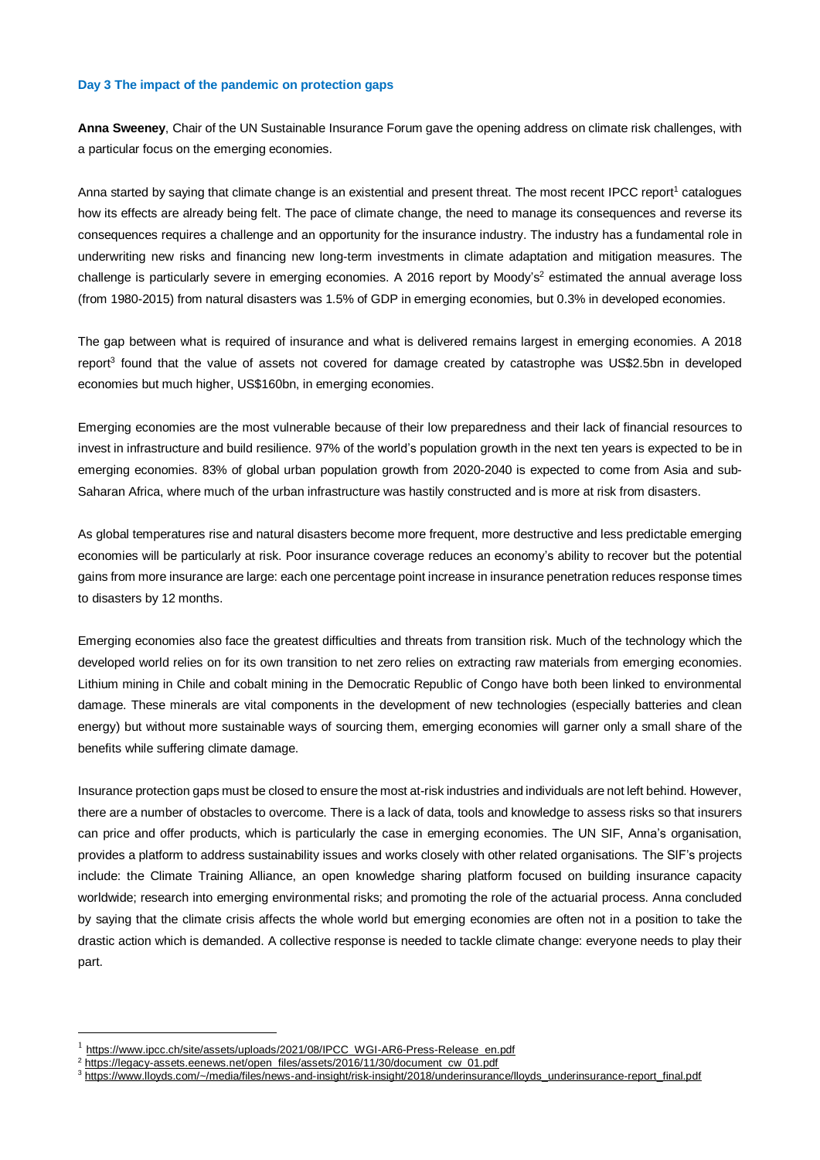## **Day 3 The impact of the pandemic on protection gaps**

**Anna Sweeney**, Chair of the UN Sustainable Insurance Forum gave the opening address on climate risk challenges, with a particular focus on the emerging economies.

Anna started by saying that climate change is an existential and present threat. The most recent IPCC report<sup>1</sup> catalogues how its effects are already being felt. The pace of climate change, the need to manage its consequences and reverse its consequences requires a challenge and an opportunity for the insurance industry. The industry has a fundamental role in underwriting new risks and financing new long-term investments in climate adaptation and mitigation measures. The challenge is particularly severe in emerging economies. A 2016 report by Moody's<sup>2</sup> estimated the annual average loss (from 1980-2015) from natural disasters was 1.5% of GDP in emerging economies, but 0.3% in developed economies.

The gap between what is required of insurance and what is delivered remains largest in emerging economies. A 2018 report<sup>3</sup> found that the value of assets not covered for damage created by catastrophe was US\$2.5bn in developed economies but much higher, US\$160bn, in emerging economies.

Emerging economies are the most vulnerable because of their low preparedness and their lack of financial resources to invest in infrastructure and build resilience. 97% of the world's population growth in the next ten years is expected to be in emerging economies. 83% of global urban population growth from 2020-2040 is expected to come from Asia and sub-Saharan Africa, where much of the urban infrastructure was hastily constructed and is more at risk from disasters.

As global temperatures rise and natural disasters become more frequent, more destructive and less predictable emerging economies will be particularly at risk. Poor insurance coverage reduces an economy's ability to recover but the potential gains from more insurance are large: each one percentage point increase in insurance penetration reduces response times to disasters by 12 months.

Emerging economies also face the greatest difficulties and threats from transition risk. Much of the technology which the developed world relies on for its own transition to net zero relies on extracting raw materials from emerging economies. Lithium mining in Chile and cobalt mining in the Democratic Republic of Congo have both been linked to environmental damage. These minerals are vital components in the development of new technologies (especially batteries and clean energy) but without more sustainable ways of sourcing them, emerging economies will garner only a small share of the benefits while suffering climate damage.

Insurance protection gaps must be closed to ensure the most at-risk industries and individuals are not left behind. However, there are a number of obstacles to overcome. There is a lack of data, tools and knowledge to assess risks so that insurers can price and offer products, which is particularly the case in emerging economies. The UN SIF, Anna's organisation, provides a platform to address sustainability issues and works closely with other related organisations. The SIF's projects include: the Climate Training Alliance, an open knowledge sharing platform focused on building insurance capacity worldwide; research into emerging environmental risks; and promoting the role of the actuarial process. Anna concluded by saying that the climate crisis affects the whole world but emerging economies are often not in a position to take the drastic action which is demanded. A collective response is needed to tackle climate change: everyone needs to play their part.

1

<sup>1</sup> [https://www.ipcc.ch/site/assets/uploads/2021/08/IPCC\\_WGI-AR6-Press-Release\\_en.pdf](https://www.ipcc.ch/site/assets/uploads/2021/08/IPCC_WGI-AR6-Press-Release_en.pdf)

[https://legacy-assets.eenews.net/open\\_files/assets/2016/11/30/document\\_cw\\_01.pdf](https://legacy-assets.eenews.net/open_files/assets/2016/11/30/document_cw_01.pdf)

<sup>3</sup> [https://www.lloyds.com/~/media/files/news-and-insight/risk-insight/2018/underinsurance/lloyds\\_underinsurance-report\\_final.pdf](https://www.lloyds.com/~/media/files/news-and-insight/risk-insight/2018/underinsurance/lloyds_underinsurance-report_final.pdf)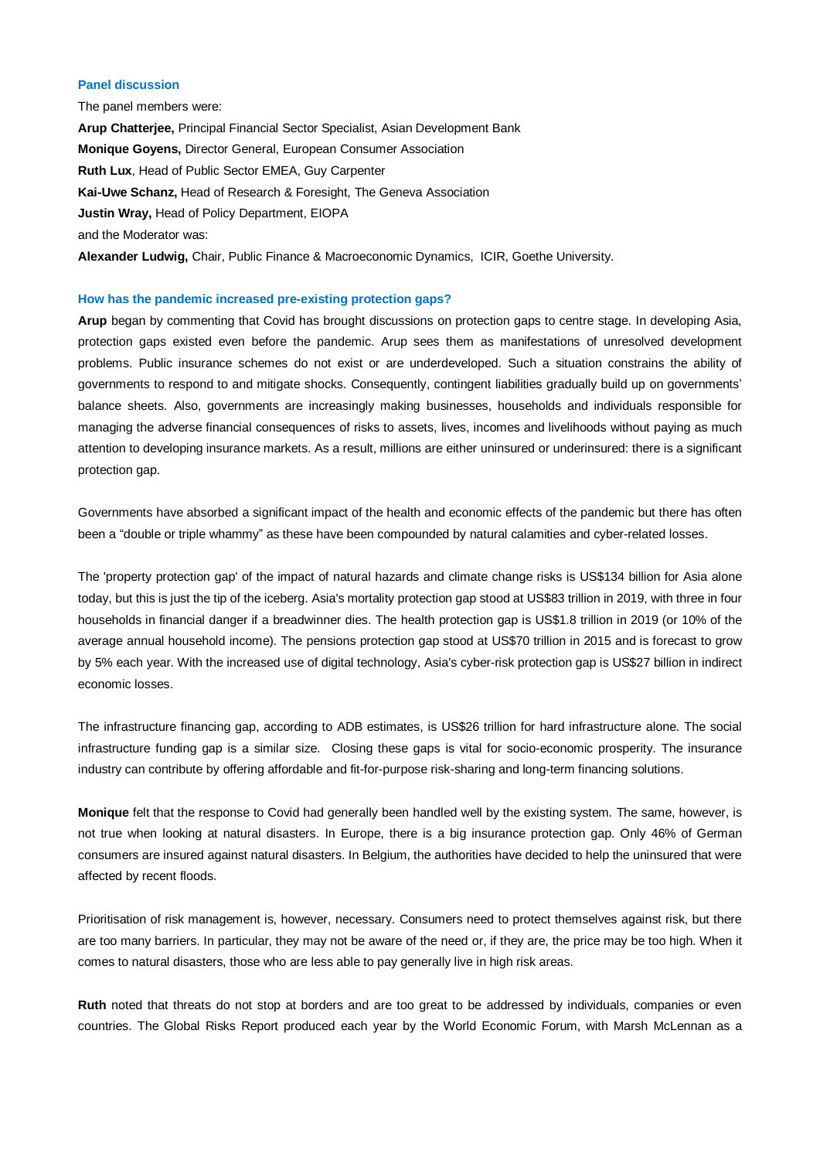# **Panel discussion**

The panel members were: **Arup Chatterjee,** Principal Financial Sector Specialist, Asian Development Bank **Monique Goyens,** Director General, European Consumer Association **Ruth Lux**, Head of Public Sector EMEA, Guy Carpenter **Kai-Uwe Schanz,** Head of Research & Foresight, The Geneva Association **Justin Wray,** Head of Policy Department, EIOPA and the Moderator was: **Alexander Ludwig,** Chair, Public Finance & Macroeconomic Dynamics, ICIR, Goethe University.

## **How has the pandemic increased pre-existing protection gaps?**

**Arup** began by commenting that Covid has brought discussions on protection gaps to centre stage. In developing Asia, protection gaps existed even before the pandemic. Arup sees them as manifestations of unresolved development problems. Public insurance schemes do not exist or are underdeveloped. Such a situation constrains the ability of governments to respond to and mitigate shocks. Consequently, contingent liabilities gradually build up on governments' balance sheets. Also, governments are increasingly making businesses, households and individuals responsible for managing the adverse financial consequences of risks to assets, lives, incomes and livelihoods without paying as much attention to developing insurance markets. As a result, millions are either uninsured or underinsured: there is a significant protection gap.

Governments have absorbed a significant impact of the health and economic effects of the pandemic but there has often been a "double or triple whammy" as these have been compounded by natural calamities and cyber-related losses.

The 'property protection gap' of the impact of natural hazards and climate change risks is US\$134 billion for Asia alone today, but this is just the tip of the iceberg. Asia's mortality protection gap stood at US\$83 trillion in 2019, with three in four households in financial danger if a breadwinner dies. The health protection gap is US\$1.8 trillion in 2019 (or 10% of the average annual household income). The pensions protection gap stood at US\$70 trillion in 2015 and is forecast to grow by 5% each year. With the increased use of digital technology, Asia's cyber-risk protection gap is US\$27 billion in indirect economic losses.

The infrastructure financing gap, according to ADB estimates, is US\$26 trillion for hard infrastructure alone. The social infrastructure funding gap is a similar size. Closing these gaps is vital for socio-economic prosperity. The insurance industry can contribute by offering affordable and fit-for-purpose risk-sharing and long-term financing solutions.

**Monique** felt that the response to Covid had generally been handled well by the existing system. The same, however, is not true when looking at natural disasters. In Europe, there is a big insurance protection gap. Only 46% of German consumers are insured against natural disasters. In Belgium, the authorities have decided to help the uninsured that were affected by recent floods.

Prioritisation of risk management is, however, necessary. Consumers need to protect themselves against risk, but there are too many barriers. In particular, they may not be aware of the need or, if they are, the price may be too high. When it comes to natural disasters, those who are less able to pay generally live in high risk areas.

**Ruth** noted that threats do not stop at borders and are too great to be addressed by individuals, companies or even countries. The Global Risks Report produced each year by the World Economic Forum, with Marsh McLennan as a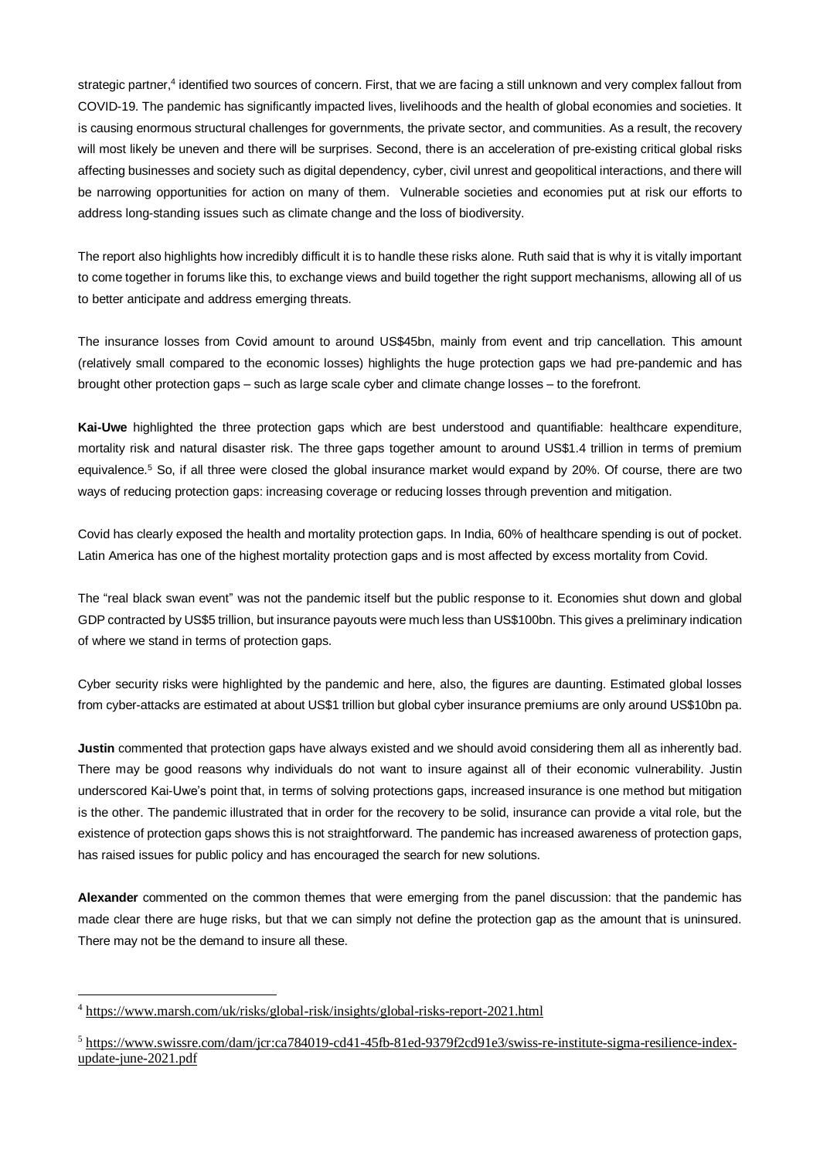strategic partner,<sup>4</sup> identified two sources of concern. First, that we are facing a still unknown and very complex fallout from COVID-19. The pandemic has significantly impacted lives, livelihoods and the health of global economies and societies. It is causing enormous structural challenges for governments, the private sector, and communities. As a result, the recovery will most likely be uneven and there will be surprises. Second, there is an acceleration of pre-existing critical global risks affecting businesses and society such as digital dependency, cyber, civil unrest and geopolitical interactions, and there will be narrowing opportunities for action on many of them. Vulnerable societies and economies put at risk our efforts to address long-standing issues such as climate change and the loss of biodiversity.

The report also highlights how incredibly difficult it is to handle these risks alone. Ruth said that is why it is vitally important to come together in forums like this, to exchange views and build together the right support mechanisms, allowing all of us to better anticipate and address emerging threats.

The insurance losses from Covid amount to around US\$45bn, mainly from event and trip cancellation. This amount (relatively small compared to the economic losses) highlights the huge protection gaps we had pre-pandemic and has brought other protection gaps – such as large scale cyber and climate change losses – to the forefront.

**Kai-Uwe** highlighted the three protection gaps which are best understood and quantifiable: healthcare expenditure, mortality risk and natural disaster risk. The three gaps together amount to around US\$1.4 trillion in terms of premium equivalence.<sup>5</sup> So, if all three were closed the global insurance market would expand by 20%. Of course, there are two ways of reducing protection gaps: increasing coverage or reducing losses through prevention and mitigation.

Covid has clearly exposed the health and mortality protection gaps. In India, 60% of healthcare spending is out of pocket. Latin America has one of the highest mortality protection gaps and is most affected by excess mortality from Covid.

The "real black swan event" was not the pandemic itself but the public response to it. Economies shut down and global GDP contracted by US\$5 trillion, but insurance payouts were much less than US\$100bn. This gives a preliminary indication of where we stand in terms of protection gaps.

Cyber security risks were highlighted by the pandemic and here, also, the figures are daunting. Estimated global losses from cyber-attacks are estimated at about US\$1 trillion but global cyber insurance premiums are only around US\$10bn pa.

**Justin** commented that protection gaps have always existed and we should avoid considering them all as inherently bad. There may be good reasons why individuals do not want to insure against all of their economic vulnerability. Justin underscored Kai-Uwe's point that, in terms of solving protections gaps, increased insurance is one method but mitigation is the other. The pandemic illustrated that in order for the recovery to be solid, insurance can provide a vital role, but the existence of protection gaps shows this is not straightforward. The pandemic has increased awareness of protection gaps, has raised issues for public policy and has encouraged the search for new solutions.

**Alexander** commented on the common themes that were emerging from the panel discussion: that the pandemic has made clear there are huge risks, but that we can simply not define the protection gap as the amount that is uninsured. There may not be the demand to insure all these.

<sup>&</sup>lt;u>.</u> <sup>4</sup> <https://www.marsh.com/uk/risks/global-risk/insights/global-risks-report-2021.html>

<sup>5</sup> [https://www.swissre.com/dam/jcr:ca784019-cd41-45fb-81ed-9379f2cd91e3/swiss-re-institute-sigma-resilience-index](https://www.swissre.com/dam/jcr:ca784019-cd41-45fb-81ed-9379f2cd91e3/swiss-re-institute-sigma-resilience-index-update-june-2021.pdf)[update-june-2021.pdf](https://www.swissre.com/dam/jcr:ca784019-cd41-45fb-81ed-9379f2cd91e3/swiss-re-institute-sigma-resilience-index-update-june-2021.pdf)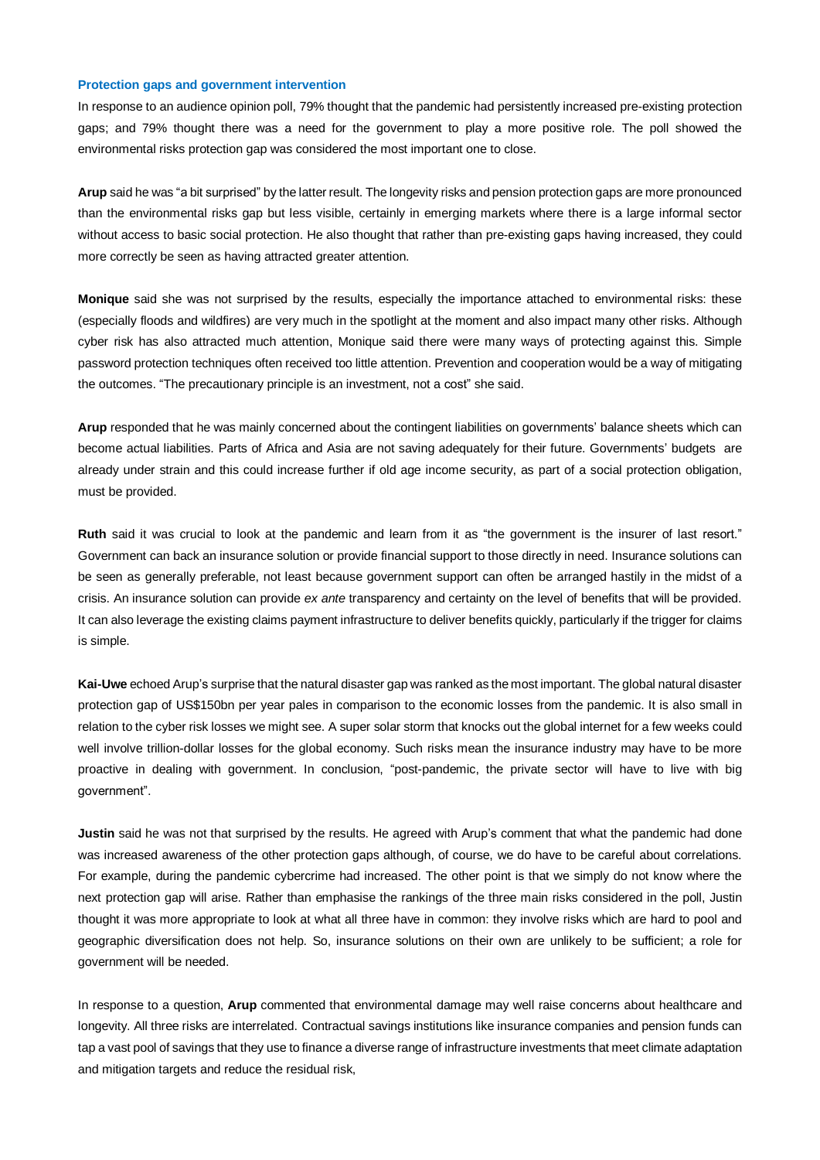#### **Protection gaps and government intervention**

In response to an audience opinion poll, 79% thought that the pandemic had persistently increased pre-existing protection gaps; and 79% thought there was a need for the government to play a more positive role. The poll showed the environmental risks protection gap was considered the most important one to close.

**Arup** said he was "a bit surprised" by the latter result. The longevity risks and pension protection gaps are more pronounced than the environmental risks gap but less visible, certainly in emerging markets where there is a large informal sector without access to basic social protection. He also thought that rather than pre-existing gaps having increased, they could more correctly be seen as having attracted greater attention.

**Monique** said she was not surprised by the results, especially the importance attached to environmental risks: these (especially floods and wildfires) are very much in the spotlight at the moment and also impact many other risks. Although cyber risk has also attracted much attention, Monique said there were many ways of protecting against this. Simple password protection techniques often received too little attention. Prevention and cooperation would be a way of mitigating the outcomes. "The precautionary principle is an investment, not a cost" she said.

**Arup** responded that he was mainly concerned about the contingent liabilities on governments' balance sheets which can become actual liabilities. Parts of Africa and Asia are not saving adequately for their future. Governments' budgets are already under strain and this could increase further if old age income security, as part of a social protection obligation, must be provided.

**Ruth** said it was crucial to look at the pandemic and learn from it as "the government is the insurer of last resort." Government can back an insurance solution or provide financial support to those directly in need. Insurance solutions can be seen as generally preferable, not least because government support can often be arranged hastily in the midst of a crisis. An insurance solution can provide *ex ante* transparency and certainty on the level of benefits that will be provided. It can also leverage the existing claims payment infrastructure to deliver benefits quickly, particularly if the trigger for claims is simple.

**Kai-Uwe** echoed Arup's surprise that the natural disaster gap was ranked as the most important. The global natural disaster protection gap of US\$150bn per year pales in comparison to the economic losses from the pandemic. It is also small in relation to the cyber risk losses we might see. A super solar storm that knocks out the global internet for a few weeks could well involve trillion-dollar losses for the global economy. Such risks mean the insurance industry may have to be more proactive in dealing with government. In conclusion, "post-pandemic, the private sector will have to live with big government".

**Justin** said he was not that surprised by the results. He agreed with Arup's comment that what the pandemic had done was increased awareness of the other protection gaps although, of course, we do have to be careful about correlations. For example, during the pandemic cybercrime had increased. The other point is that we simply do not know where the next protection gap will arise. Rather than emphasise the rankings of the three main risks considered in the poll, Justin thought it was more appropriate to look at what all three have in common: they involve risks which are hard to pool and geographic diversification does not help. So, insurance solutions on their own are unlikely to be sufficient; a role for government will be needed.

In response to a question, **Arup** commented that environmental damage may well raise concerns about healthcare and longevity. All three risks are interrelated. Contractual savings institutions like insurance companies and pension funds can tap a vast pool of savings that they use to finance a diverse range of infrastructure investments that meet climate adaptation and mitigation targets and reduce the residual risk,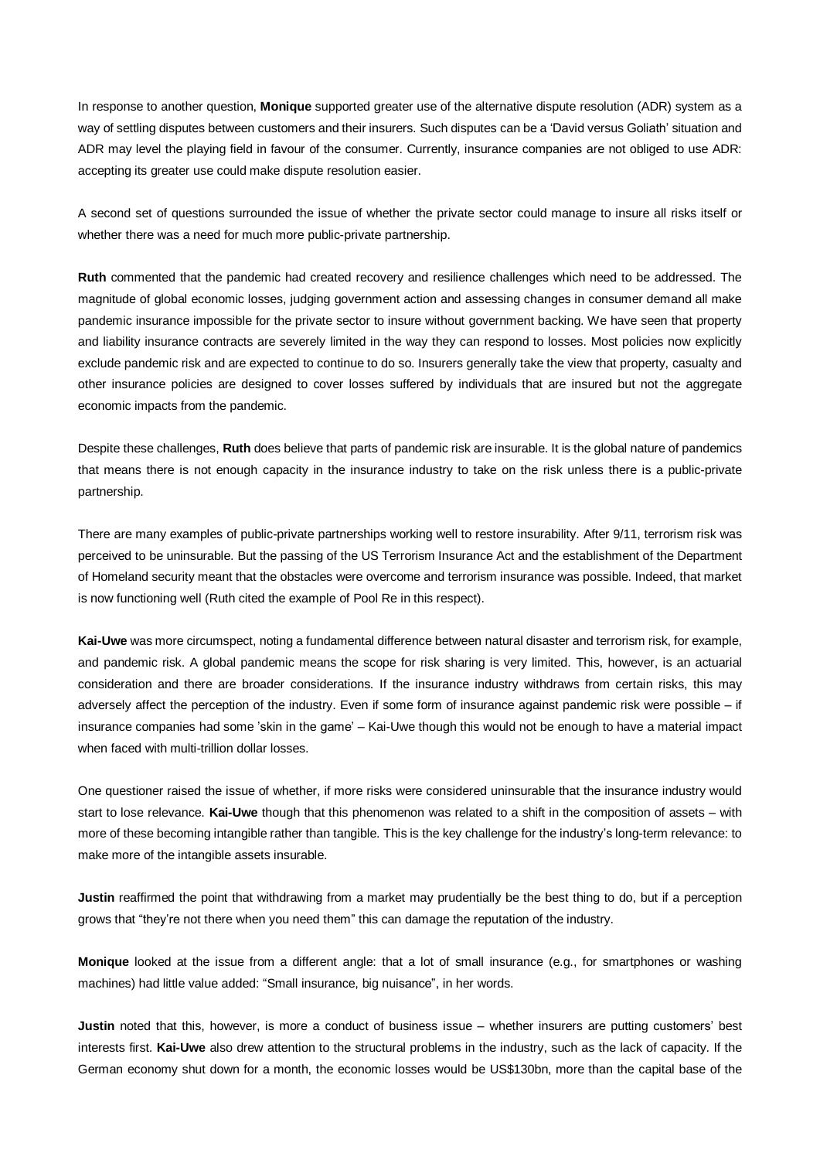In response to another question, **Monique** supported greater use of the alternative dispute resolution (ADR) system as a way of settling disputes between customers and their insurers. Such disputes can be a 'David versus Goliath' situation and ADR may level the playing field in favour of the consumer. Currently, insurance companies are not obliged to use ADR: accepting its greater use could make dispute resolution easier.

A second set of questions surrounded the issue of whether the private sector could manage to insure all risks itself or whether there was a need for much more public-private partnership.

**Ruth** commented that the pandemic had created recovery and resilience challenges which need to be addressed. The magnitude of global economic losses, judging government action and assessing changes in consumer demand all make pandemic insurance impossible for the private sector to insure without government backing. We have seen that property and liability insurance contracts are severely limited in the way they can respond to losses. Most policies now explicitly exclude pandemic risk and are expected to continue to do so. Insurers generally take the view that property, casualty and other insurance policies are designed to cover losses suffered by individuals that are insured but not the aggregate economic impacts from the pandemic.

Despite these challenges, **Ruth** does believe that parts of pandemic risk are insurable. It is the global nature of pandemics that means there is not enough capacity in the insurance industry to take on the risk unless there is a public-private partnership.

There are many examples of public-private partnerships working well to restore insurability. After 9/11, terrorism risk was perceived to be uninsurable. But the passing of the US Terrorism Insurance Act and the establishment of the Department of Homeland security meant that the obstacles were overcome and terrorism insurance was possible. Indeed, that market is now functioning well (Ruth cited the example of Pool Re in this respect).

**Kai-Uwe** was more circumspect, noting a fundamental difference between natural disaster and terrorism risk, for example, and pandemic risk. A global pandemic means the scope for risk sharing is very limited. This, however, is an actuarial consideration and there are broader considerations. If the insurance industry withdraws from certain risks, this may adversely affect the perception of the industry. Even if some form of insurance against pandemic risk were possible – if insurance companies had some 'skin in the game' – Kai-Uwe though this would not be enough to have a material impact when faced with multi-trillion dollar losses.

One questioner raised the issue of whether, if more risks were considered uninsurable that the insurance industry would start to lose relevance. **Kai-Uwe** though that this phenomenon was related to a shift in the composition of assets – with more of these becoming intangible rather than tangible. This is the key challenge for the industry's long-term relevance: to make more of the intangible assets insurable.

**Justin** reaffirmed the point that withdrawing from a market may prudentially be the best thing to do, but if a perception grows that "they're not there when you need them" this can damage the reputation of the industry.

**Monique** looked at the issue from a different angle: that a lot of small insurance (e.g., for smartphones or washing machines) had little value added: "Small insurance, big nuisance", in her words.

**Justin** noted that this, however, is more a conduct of business issue – whether insurers are putting customers' best interests first. **Kai-Uwe** also drew attention to the structural problems in the industry, such as the lack of capacity. If the German economy shut down for a month, the economic losses would be US\$130bn, more than the capital base of the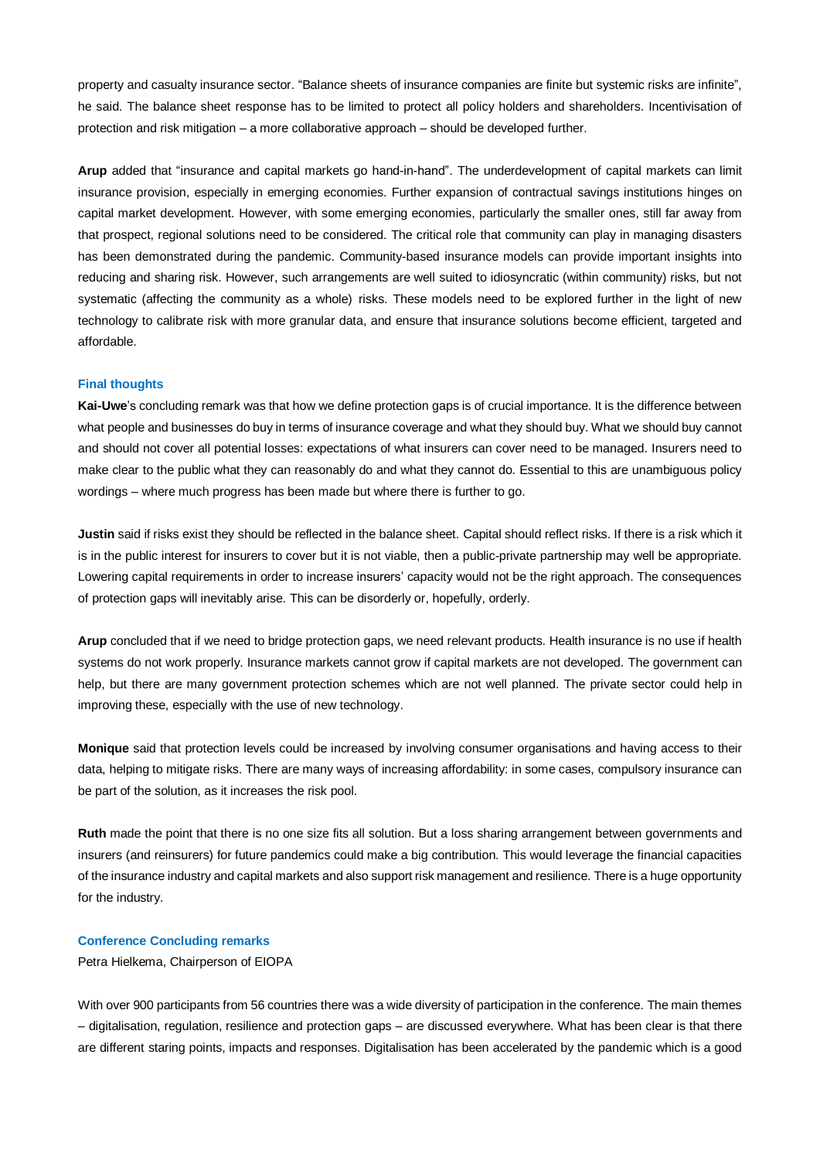property and casualty insurance sector. "Balance sheets of insurance companies are finite but systemic risks are infinite", he said. The balance sheet response has to be limited to protect all policy holders and shareholders. Incentivisation of protection and risk mitigation – a more collaborative approach – should be developed further.

**Arup** added that "insurance and capital markets go hand-in-hand". The underdevelopment of capital markets can limit insurance provision, especially in emerging economies. Further expansion of contractual savings institutions hinges on capital market development. However, with some emerging economies, particularly the smaller ones, still far away from that prospect, regional solutions need to be considered. The critical role that community can play in managing disasters has been demonstrated during the pandemic. Community-based insurance models can provide important insights into reducing and sharing risk. However, such arrangements are well suited to idiosyncratic (within community) risks, but not systematic (affecting the community as a whole) risks. These models need to be explored further in the light of new technology to calibrate risk with more granular data, and ensure that insurance solutions become efficient, targeted and affordable.

### **Final thoughts**

**Kai-Uwe**'s concluding remark was that how we define protection gaps is of crucial importance. It is the difference between what people and businesses do buy in terms of insurance coverage and what they should buy. What we should buy cannot and should not cover all potential losses: expectations of what insurers can cover need to be managed. Insurers need to make clear to the public what they can reasonably do and what they cannot do. Essential to this are unambiguous policy wordings – where much progress has been made but where there is further to go.

**Justin** said if risks exist they should be reflected in the balance sheet. Capital should reflect risks. If there is a risk which it is in the public interest for insurers to cover but it is not viable, then a public-private partnership may well be appropriate. Lowering capital requirements in order to increase insurers' capacity would not be the right approach. The consequences of protection gaps will inevitably arise. This can be disorderly or, hopefully, orderly.

**Arup** concluded that if we need to bridge protection gaps, we need relevant products. Health insurance is no use if health systems do not work properly. Insurance markets cannot grow if capital markets are not developed. The government can help, but there are many government protection schemes which are not well planned. The private sector could help in improving these, especially with the use of new technology.

**Monique** said that protection levels could be increased by involving consumer organisations and having access to their data, helping to mitigate risks. There are many ways of increasing affordability: in some cases, compulsory insurance can be part of the solution, as it increases the risk pool.

**Ruth** made the point that there is no one size fits all solution. But a loss sharing arrangement between governments and insurers (and reinsurers) for future pandemics could make a big contribution. This would leverage the financial capacities of the insurance industry and capital markets and also support risk management and resilience. There is a huge opportunity for the industry.

## **Conference Concluding remarks**

Petra Hielkema, Chairperson of EIOPA

With over 900 participants from 56 countries there was a wide diversity of participation in the conference. The main themes – digitalisation, regulation, resilience and protection gaps – are discussed everywhere. What has been clear is that there are different staring points, impacts and responses. Digitalisation has been accelerated by the pandemic which is a good